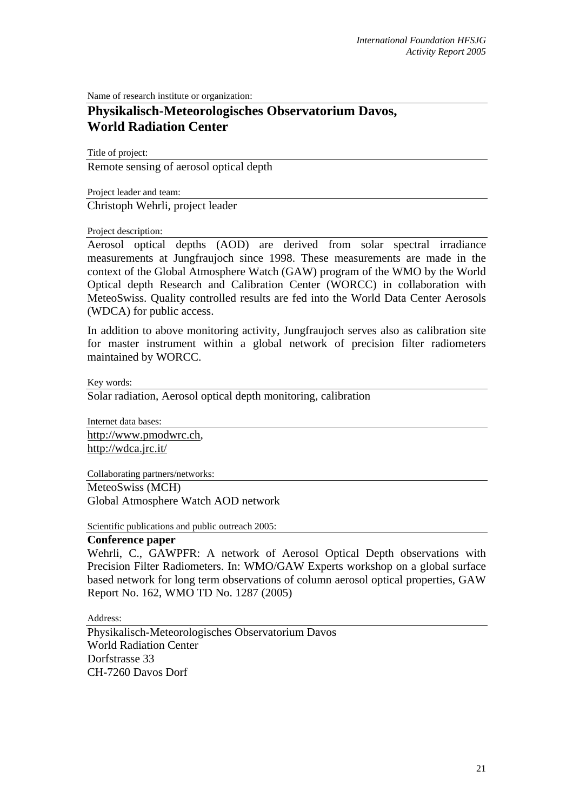Name of research institute or organization:

## **Physikalisch-Meteorologisches Observatorium Davos, World Radiation Center**

Title of project:

Remote sensing of aerosol optical depth

Project leader and team:

Christoph Wehrli, project leader

## Project description:

Aerosol optical depths (AOD) are derived from solar spectral irradiance measurements at Jungfraujoch since 1998. These measurements are made in the context of the Global Atmosphere Watch (GAW) program of the WMO by the World Optical depth Research and Calibration Center (WORCC) in collaboration with MeteoSwiss. Quality controlled results are fed into the World Data Center Aerosols (WDCA) for public access.

In addition to above monitoring activity, Jungfraujoch serves also as calibration site for master instrument within a global network of precision filter radiometers maintained by WORCC.

Key words:

Solar radiation, Aerosol optical depth monitoring, calibration

Internet data bases: http://www.pmodwrc.ch, http://wdca.jrc.it/

Collaborating partners/networks:

MeteoSwiss (MCH) Global Atmosphere Watch AOD network

Scientific publications and public outreach 2005:

## **Conference paper**

Wehrli, C., GAWPFR: A network of Aerosol Optical Depth observations with Precision Filter Radiometers. In: WMO/GAW Experts workshop on a global surface based network for long term observations of column aerosol optical properties, GAW Report No. 162, WMO TD No. 1287 (2005)

Address:

Physikalisch-Meteorologisches Observatorium Davos World Radiation Center Dorfstrasse 33 CH-7260 Davos Dorf